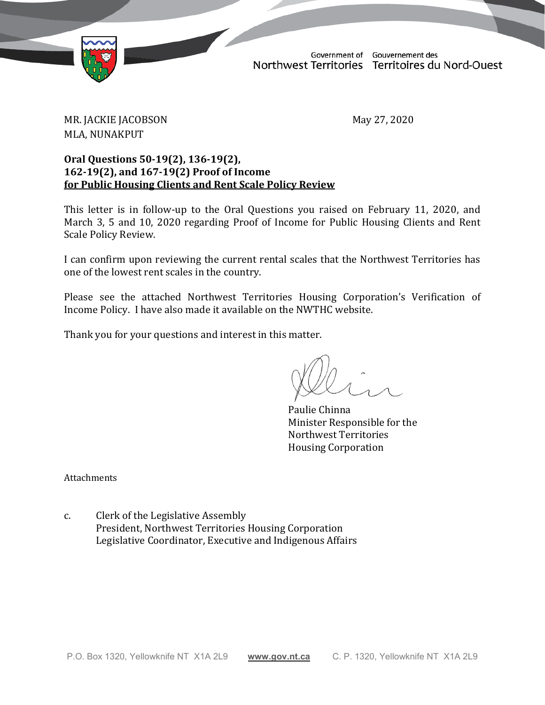

Government of Gouvernement des Northwest Territories Territoires du Nord-Ouest

TD 111-19(2) TABLED ON MAY 28, 2020

MR. JACKIE JACOBSON May 27, 2020 MLA, NUNAKPUT

### **Oral Questions 50-19(2), 136-19(2), 162-19(2), and 167-19(2) Proof of Income for Public Housing Clients and Rent Scale Policy Review**

This letter is in follow-up to the Oral Questions you raised on February 11, 2020, and March 3, 5 and 10, 2020 regarding Proof of Income for Public Housing Clients and Rent Scale Policy Review.

I can confirm upon reviewing the current rental scales that the Northwest Territories has one of the lowest rent scales in the country.

Please see the attached Northwest Territories Housing Corporation's Verification of Income Policy. I have also made it available on the NWTHC website.

Thank you for your questions and interest in this matter.

Paulie Chinna Minister Responsible for the Northwest Territories Housing Corporation

**Attachments** 

c. Clerk of the Legislative Assembly President, Northwest Territories Housing Corporation Legislative Coordinator, Executive and Indigenous Affairs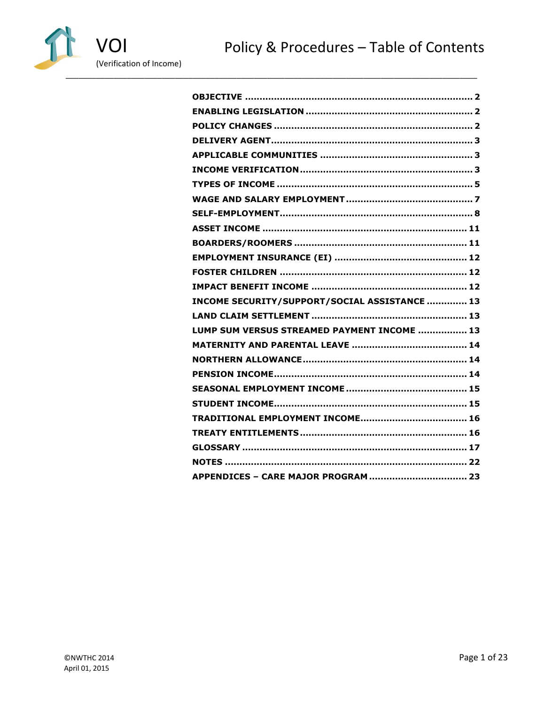



| INCOME SECURITY/SUPPORT/SOCIAL ASSISTANCE  13 |
|-----------------------------------------------|
|                                               |
| LUMP SUM VERSUS STREAMED PAYMENT INCOME  13   |
|                                               |
|                                               |
|                                               |
|                                               |
|                                               |
|                                               |
|                                               |
|                                               |
|                                               |
|                                               |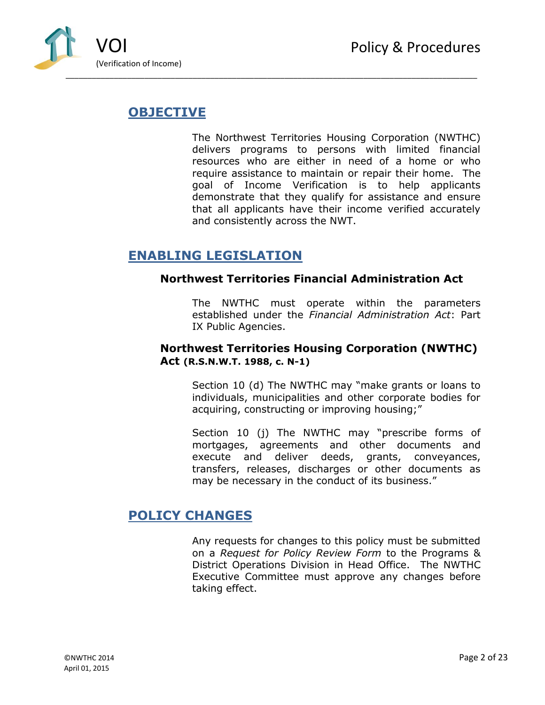

# <span id="page-2-0"></span>**OBJECTIVE**

The Northwest Territories Housing Corporation (NWTHC) delivers programs to persons with limited financial resources who are either in need of a home or who require assistance to maintain or repair their home. The goal of Income Verification is to help applicants demonstrate that they qualify for assistance and ensure that all applicants have their income verified accurately and consistently across the NWT.

# <span id="page-2-1"></span>**ENABLING LEGISLATION**

### **Northwest Territories Financial Administration Act**

The NWTHC must operate within the parameters established under the *Financial Administration Act*: Part IX Public Agencies.

## **Northwest Territories Housing Corporation (NWTHC) Act (R.S.N.W.T. 1988, c. N-1)**

Section 10 (d) The NWTHC may "make grants or loans to individuals, municipalities and other corporate bodies for acquiring, constructing or improving housing;"

Section 10 (j) The NWTHC may "prescribe forms of mortgages, agreements and other documents and execute and deliver deeds, grants, conveyances, transfers, releases, discharges or other documents as may be necessary in the conduct of its business."

# <span id="page-2-2"></span>**POLICY CHANGES**

Any requests for changes to this policy must be submitted on a *Request for Policy Review Form* to the Programs & District Operations Division in Head Office. The NWTHC Executive Committee must approve any changes before taking effect.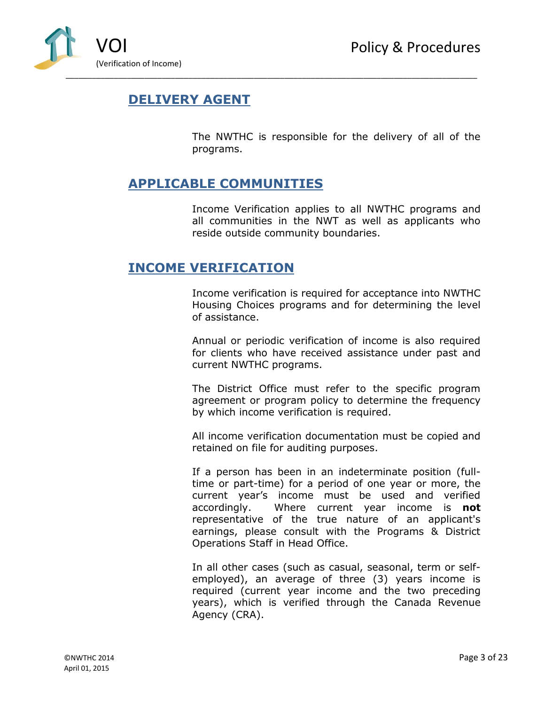

# <span id="page-3-0"></span>**DELIVERY AGENT**

The NWTHC is responsible for the delivery of all of the programs.

## <span id="page-3-1"></span>**APPLICABLE COMMUNITIES**

Income Verification applies to all NWTHC programs and all communities in the NWT as well as applicants who reside outside community boundaries.

## <span id="page-3-2"></span>**INCOME VERIFICATION**

Income verification is required for acceptance into NWTHC Housing Choices programs and for determining the level of assistance.

Annual or periodic verification of income is also required for clients who have received assistance under past and current NWTHC programs.

The District Office must refer to the specific program agreement or program policy to determine the frequency by which income verification is required.

All income verification documentation must be copied and retained on file for auditing purposes.

If a person has been in an indeterminate position (fulltime or part-time) for a period of one year or more, the current year's income must be used and verified accordingly. Where current year income is **not** representative of the true nature of an applicant's earnings, please consult with the Programs & District Operations Staff in Head Office.

In all other cases (such as casual, seasonal, term or selfemployed), an average of three (3) years income is required (current year income and the two preceding years), which is verified through the Canada Revenue Agency (CRA).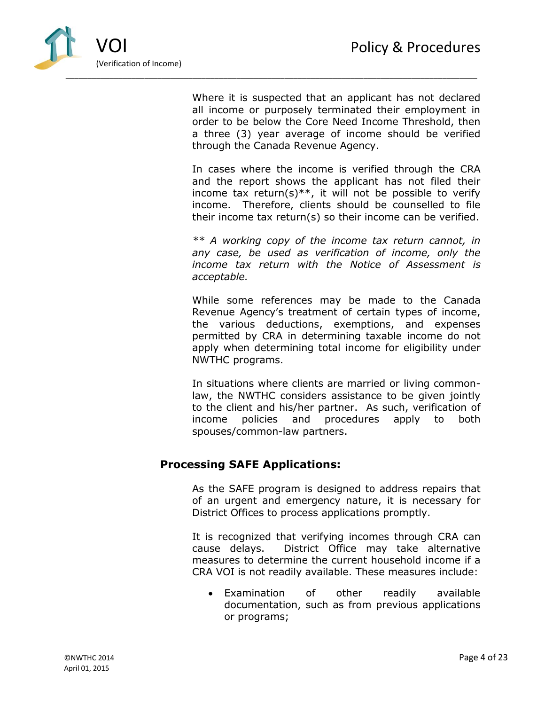

Where it is suspected that an applicant has not declared all income or purposely terminated their employment in order to be below the Core Need Income Threshold, then a three (3) year average of income should be verified through the Canada Revenue Agency.

In cases where the income is verified through the CRA and the report shows the applicant has not filed their income tax return(s)\*\*, it will not be possible to verify income. Therefore, clients should be counselled to file their income tax return(s) so their income can be verified.

*\*\* A working copy of the income tax return cannot, in any case, be used as verification of income, only the income tax return with the Notice of Assessment is acceptable.* 

While some references may be made to the Canada Revenue Agency's treatment of certain types of income, the various deductions, exemptions, and expenses permitted by CRA in determining taxable income do not apply when determining total income for eligibility under NWTHC programs.

In situations where clients are married or living commonlaw, the NWTHC considers assistance to be given jointly to the client and his/her partner. As such, verification of income policies and procedures apply to both spouses/common-law partners.

## **Processing SAFE Applications:**

As the SAFE program is designed to address repairs that of an urgent and emergency nature, it is necessary for District Offices to process applications promptly.

It is recognized that verifying incomes through CRA can cause delays. District Office may take alternative measures to determine the current household income if a CRA VOI is not readily available. These measures include:

 Examination of other readily available documentation, such as from previous applications or programs;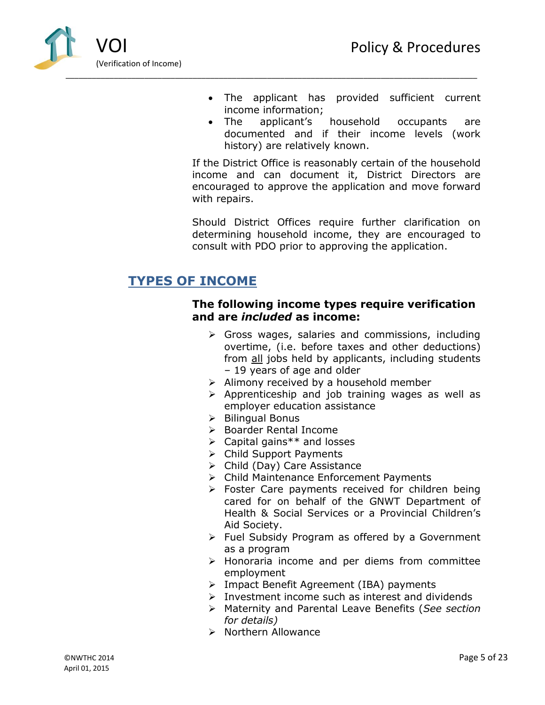

- The applicant has provided sufficient current income information;
- The applicant's household occupants are documented and if their income levels (work history) are relatively known.

If the District Office is reasonably certain of the household income and can document it, District Directors are encouraged to approve the application and move forward with repairs.

Should District Offices require further clarification on determining household income, they are encouraged to consult with PDO prior to approving the application.

# <span id="page-5-0"></span>**TYPES OF INCOME**

### **The following income types require verification and are** *included* **as income:**

- $\triangleright$  Gross wages, salaries and commissions, including overtime, (i.e. before taxes and other deductions) from all jobs held by applicants, including students – 19 years of age and older
- $\triangleright$  Alimony received by a household member
- $\triangleright$  Apprenticeship and job training wages as well as employer education assistance
- $\triangleright$  Bilingual Bonus
- **►** Boarder Rental Income
- Capital gains\*\* and losses
- Child Support Payments
- $\triangleright$  Child (Day) Care Assistance
- Child Maintenance Enforcement Payments
- $\triangleright$  Foster Care payments received for children being cared for on behalf of the GNWT Department of Health & Social Services or a Provincial Children's Aid Society.
- $\triangleright$  Fuel Subsidy Program as offered by a Government as a program
- $\triangleright$  Honoraria income and per diems from committee employment
- Impact Benefit Agreement (IBA) payments
- $\triangleright$  Investment income such as interest and dividends
- Maternity and Parental Leave Benefits (*See section for details)*
- $\triangleright$  Northern Allowance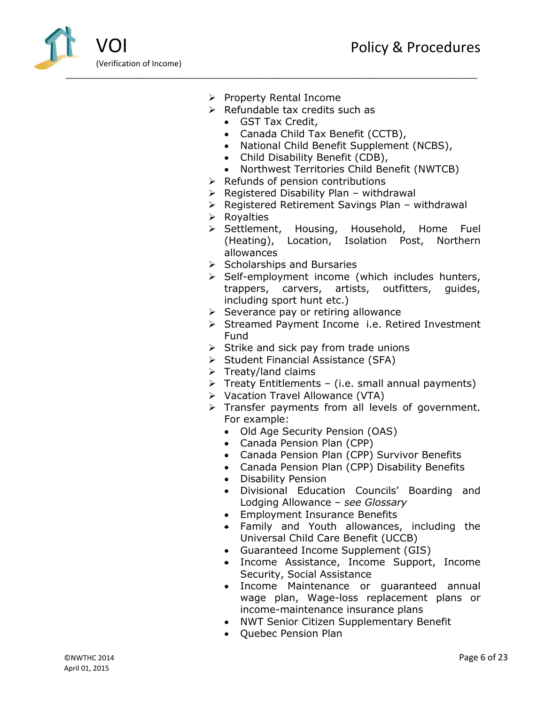

- $\triangleright$  Property Rental Income
- $\triangleright$  Refundable tax credits such as
	- GST Tax Credit,
	- Canada Child Tax Benefit (CCTB),
	- National Child Benefit Supplement (NCBS),
	- Child Disability Benefit (CDB),
	- Northwest Territories Child Benefit (NWTCB)
- $\triangleright$  Refunds of pension contributions
- $\triangleright$  Registered Disability Plan withdrawal
- $\triangleright$  Registered Retirement Savings Plan withdrawal
- $\triangleright$  Royalties
- $\triangleright$  Settlement, Housing, Household, Home Fuel (Heating), Location, Isolation Post, Northern allowances
- $\triangleright$  Scholarships and Bursaries
- $\triangleright$  Self-employment income (which includes hunters, trappers, carvers, artists, outfitters, guides, including sport hunt etc.)
- $\triangleright$  Severance pay or retiring allowance
- Streamed Payment Income i.e. Retired Investment Fund
- $\triangleright$  Strike and sick pay from trade unions
- $\triangleright$  Student Financial Assistance (SFA)
- $\triangleright$  Treaty/land claims
- $\triangleright$  Treaty Entitlements (i.e. small annual payments)
- Vacation Travel Allowance (VTA)
- $\triangleright$  Transfer payments from all levels of government. For example:
	- Old Age Security Pension (OAS)
	- Canada Pension Plan (CPP)
	- Canada Pension Plan (CPP) Survivor Benefits
	- Canada Pension Plan (CPP) Disability Benefits
	- Disability Pension
	- Divisional Education Councils' Boarding and Lodging Allowance – *see Glossary*
	- Employment Insurance Benefits
	- Family and Youth allowances, including the Universal Child Care Benefit (UCCB)
	- Guaranteed Income Supplement (GIS)
	- Income Assistance, Income Support, Income Security, Social Assistance
	- Income Maintenance or guaranteed annual wage plan, Wage-loss replacement plans or income-maintenance insurance plans
	- NWT Senior Citizen Supplementary Benefit
	- Ouebec Pension Plan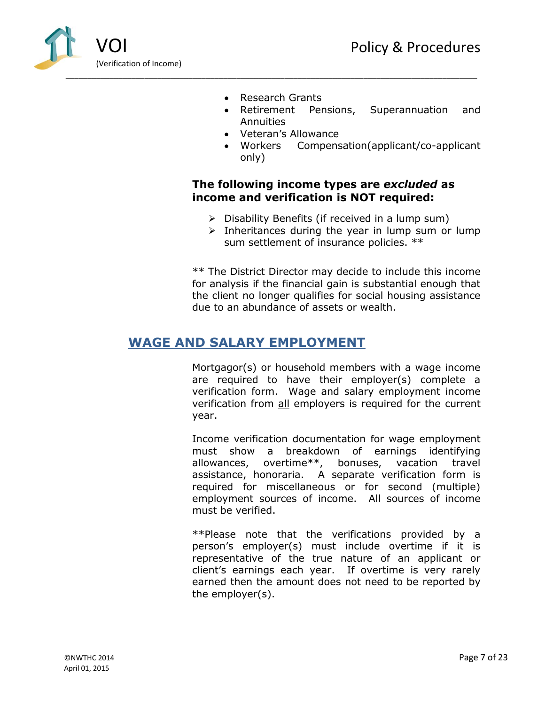

- Research Grants
- Retirement Pensions, Superannuation and Annuities
- Veteran's Allowance
- Workers Compensation(applicant/co-applicant only)

## **The following income types are** *excluded* **as income and verification is NOT required:**

- $\triangleright$  Disability Benefits (if received in a lump sum)
- $\triangleright$  Inheritances during the year in lump sum or lump sum settlement of insurance policies. \*\*

\*\* The District Director may decide to include this income for analysis if the financial gain is substantial enough that the client no longer qualifies for social housing assistance due to an abundance of assets or wealth.

## <span id="page-7-0"></span>**WAGE AND SALARY EMPLOYMENT**

Mortgagor(s) or household members with a wage income are required to have their employer(s) complete a verification form. Wage and salary employment income verification from all employers is required for the current year.

Income verification documentation for wage employment must show a breakdown of earnings identifying allowances, overtime\*\*, bonuses, vacation travel assistance, honoraria. A separate verification form is required for miscellaneous or for second (multiple) employment sources of income. All sources of income must be verified.

\*\*Please note that the verifications provided by a person's employer(s) must include overtime if it is representative of the true nature of an applicant or client's earnings each year. If overtime is very rarely earned then the amount does not need to be reported by the employer(s).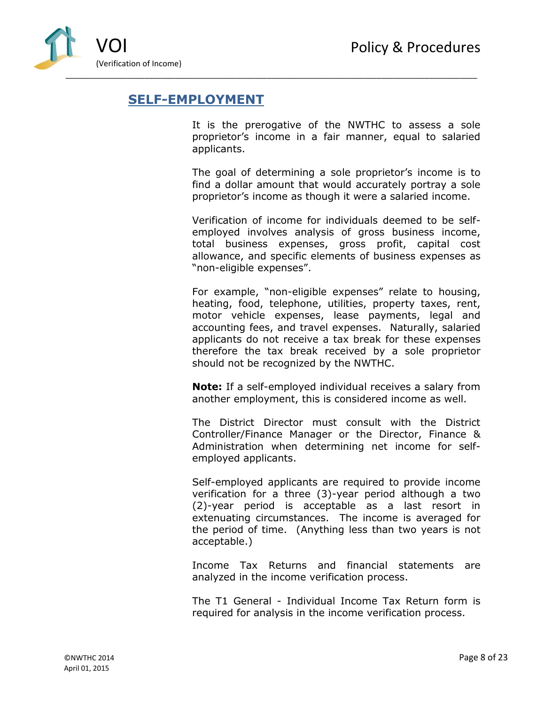

# <span id="page-8-0"></span>**SELF-EMPLOYMENT**

It is the prerogative of the NWTHC to assess a sole proprietor's income in a fair manner, equal to salaried applicants.

The goal of determining a sole proprietor's income is to find a dollar amount that would accurately portray a sole proprietor's income as though it were a salaried income.

Verification of income for individuals deemed to be selfemployed involves analysis of gross business income, total business expenses, gross profit, capital cost allowance, and specific elements of business expenses as "non-eligible expenses".

For example, "non-eligible expenses" relate to housing, heating, food, telephone, utilities, property taxes, rent, motor vehicle expenses, lease payments, legal and accounting fees, and travel expenses. Naturally, salaried applicants do not receive a tax break for these expenses therefore the tax break received by a sole proprietor should not be recognized by the NWTHC.

**Note:** If a self-employed individual receives a salary from another employment, this is considered income as well.

The District Director must consult with the District Controller/Finance Manager or the Director, Finance & Administration when determining net income for selfemployed applicants.

Self-employed applicants are required to provide income verification for a three (3)-year period although a two (2)-year period is acceptable as a last resort in extenuating circumstances. The income is averaged for the period of time. (Anything less than two years is not acceptable.)

Income Tax Returns and financial statements are analyzed in the income verification process.

The T1 General - Individual Income Tax Return form is required for analysis in the income verification process.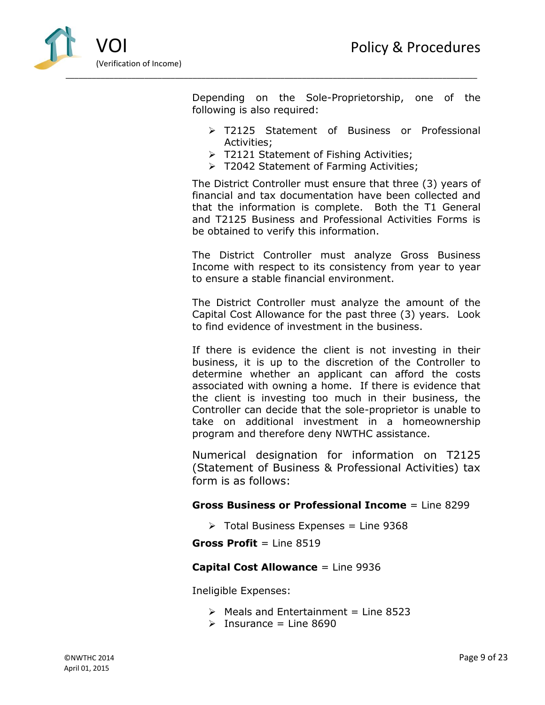

Depending on the Sole-Proprietorship, one of the following is also required:

- > T2125 Statement of Business or Professional Activities;
- $\triangleright$  T2121 Statement of Fishing Activities;
- > T2042 Statement of Farming Activities;

The District Controller must ensure that three (3) years of financial and tax documentation have been collected and that the information is complete. Both the T1 General and T2125 Business and Professional Activities Forms is be obtained to verify this information.

The District Controller must analyze Gross Business Income with respect to its consistency from year to year to ensure a stable financial environment.

The District Controller must analyze the amount of the Capital Cost Allowance for the past three (3) years. Look to find evidence of investment in the business.

If there is evidence the client is not investing in their business, it is up to the discretion of the Controller to determine whether an applicant can afford the costs associated with owning a home. If there is evidence that the client is investing too much in their business, the Controller can decide that the sole-proprietor is unable to take on additional investment in a homeownership program and therefore deny NWTHC assistance.

Numerical designation for information on T2125 (Statement of Business & Professional Activities) tax form is as follows:

#### **Gross Business or Professional Income** = Line 8299

 $\triangleright$  Total Business Expenses = Line 9368

**Gross Profit** = Line 8519

#### **Capital Cost Allowance** = Line 9936

Ineligible Expenses:

- $\triangleright$  Meals and Entertainment = Line 8523
- $\triangleright$  Insurance = Line 8690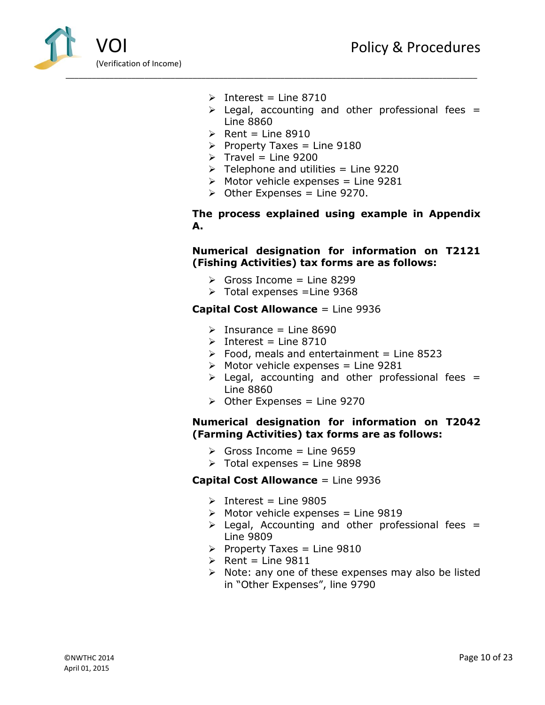

- $\triangleright$  Interest = Line 8710
- $\triangleright$  Legal, accounting and other professional fees = Line 8860
- $\triangleright$  Rent = Line 8910
- Property Taxes = Line  $9180$
- $\triangleright$  Travel = Line 9200
- $\triangleright$  Telephone and utilities = Line 9220
- $\triangleright$  Motor vehicle expenses = Line 9281
- $\triangleright$  Other Expenses = Line 9270.

**The process explained using example in Appendix A.**

#### **Numerical designation for information on T2121 (Fishing Activities) tax forms are as follows:**

- $\triangleright$  Gross Income = Line 8299
- $\triangleright$  Total expenses = Line 9368

#### **Capital Cost Allowance** = Line 9936

- $\triangleright$  Insurance = Line 8690
- $\triangleright$  Interest = Line 8710
- $\geq$  Food, meals and entertainment = Line 8523
- $\triangleright$  Motor vehicle expenses = Line 9281
- $\triangleright$  Legal, accounting and other professional fees = Line 8860
- $\triangleright$  Other Expenses = Line 9270

#### **Numerical designation for information on T2042 (Farming Activities) tax forms are as follows:**

- $\triangleright$  Gross Income = Line 9659
- $\triangleright$  Total expenses = Line 9898

#### **Capital Cost Allowance** = Line 9936

- $\triangleright$  Interest = Line 9805
- $\triangleright$  Motor vehicle expenses = Line 9819
- $\triangleright$  Legal, Accounting and other professional fees = Line 9809
- Property Taxes = Line  $9810$
- $\triangleright$  Rent = Line 9811
- $\triangleright$  Note: any one of these expenses may also be listed in "Other Expenses", line 9790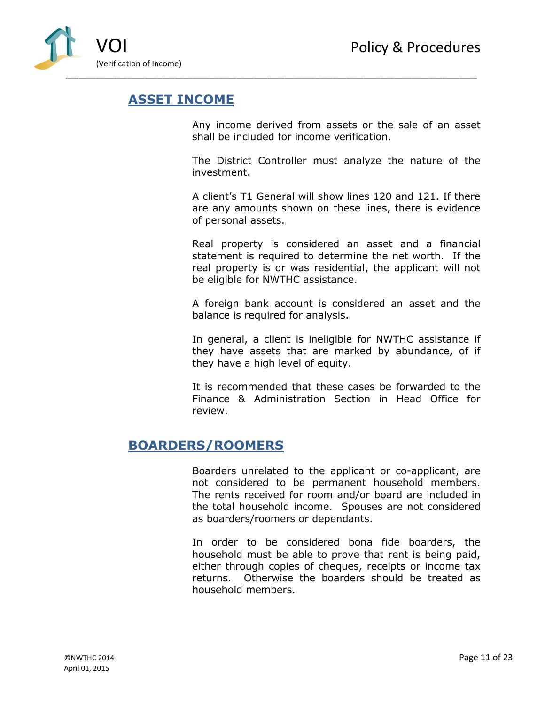

# <span id="page-11-0"></span>**ASSET INCOME**

Any income derived from assets or the sale of an asset shall be included for income verification.

The District Controller must analyze the nature of the investment.

A client's T1 General will show lines 120 and 121. If there are any amounts shown on these lines, there is evidence of personal assets.

Real property is considered an asset and a financial statement is required to determine the net worth. If the real property is or was residential, the applicant will not be eligible for NWTHC assistance.

A foreign bank account is considered an asset and the balance is required for analysis.

In general, a client is ineligible for NWTHC assistance if they have assets that are marked by abundance, of if they have a high level of equity.

It is recommended that these cases be forwarded to the Finance & Administration Section in Head Office for review.

# <span id="page-11-1"></span>**BOARDERS/ROOMERS**

Boarders unrelated to the applicant or co-applicant, are not considered to be permanent household members. The rents received for room and/or board are included in the total household income. Spouses are not considered as boarders/roomers or dependants.

In order to be considered bona fide boarders, the household must be able to prove that rent is being paid, either through copies of cheques, receipts or income tax returns. Otherwise the boarders should be treated as household members.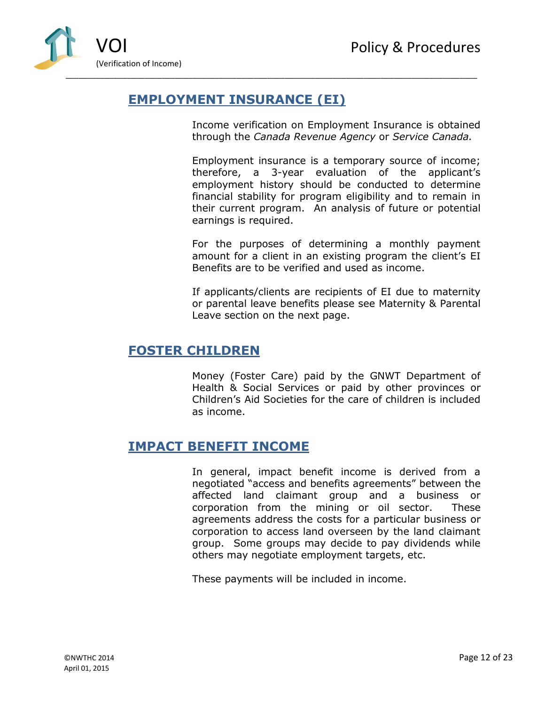

# <span id="page-12-0"></span>**EMPLOYMENT INSURANCE (EI)**

Income verification on Employment Insurance is obtained through the *Canada Revenue Agency* or *Service Canada.*

Employment insurance is a temporary source of income; therefore, a 3-year evaluation of the applicant's employment history should be conducted to determine financial stability for program eligibility and to remain in their current program. An analysis of future or potential earnings is required.

For the purposes of determining a monthly payment amount for a client in an existing program the client's EI Benefits are to be verified and used as income.

If applicants/clients are recipients of EI due to maternity or parental leave benefits please see Maternity & Parental Leave section on the next page.

# <span id="page-12-1"></span>**FOSTER CHILDREN**

Money (Foster Care) paid by the GNWT Department of Health & Social Services or paid by other provinces or Children's Aid Societies for the care of children is included as income.

# <span id="page-12-2"></span>**IMPACT BENEFIT INCOME**

In general, impact benefit income is derived from a negotiated "access and benefits agreements" between the affected land claimant group and a business or corporation from the mining or oil sector. These agreements address the costs for a particular business or corporation to access land overseen by the land claimant group. Some groups may decide to pay dividends while others may negotiate employment targets, etc.

These payments will be included in income.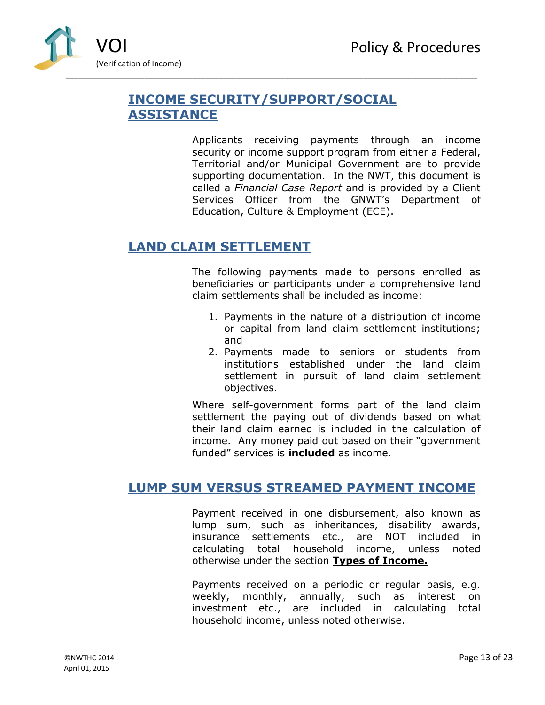

# <span id="page-13-0"></span>**INCOME SECURITY/SUPPORT/SOCIAL ASSISTANCE**

Applicants receiving payments through an income security or income support program from either a Federal, Territorial and/or Municipal Government are to provide supporting documentation. In the NWT, this document is called a *Financial Case Report* and is provided by a Client Services Officer from the GNWT's Department of Education, Culture & Employment (ECE).

# <span id="page-13-1"></span>**LAND CLAIM SETTLEMENT**

The following payments made to persons enrolled as beneficiaries or participants under a comprehensive land claim settlements shall be included as income:

- 1. Payments in the nature of a distribution of income or capital from land claim settlement institutions; and
- 2. Payments made to seniors or students from institutions established under the land claim settlement in pursuit of land claim settlement objectives.

Where self-government forms part of the land claim settlement the paying out of dividends based on what their land claim earned is included in the calculation of income. Any money paid out based on their "government funded" services is **included** as income.

# <span id="page-13-2"></span>**LUMP SUM VERSUS STREAMED PAYMENT INCOME**

Payment received in one disbursement, also known as lump sum, such as inheritances, disability awards, insurance settlements etc., are NOT included in calculating total household income, unless noted otherwise under the section **Types of Income.** 

Payments received on a periodic or regular basis, e.g. weekly, monthly, annually, such as interest on investment etc., are included in calculating total household income, unless noted otherwise.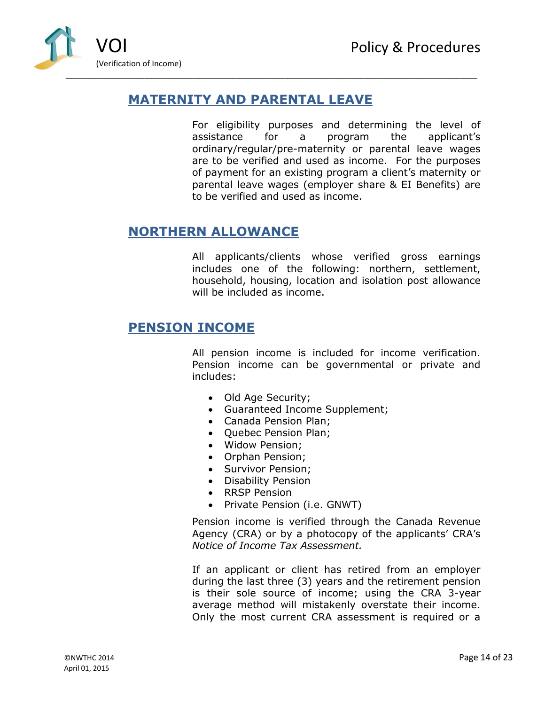

# <span id="page-14-0"></span>**MATERNITY AND PARENTAL LEAVE**

For eligibility purposes and determining the level of assistance for a program the applicant's ordinary/regular/pre-maternity or parental leave wages are to be verified and used as income. For the purposes of payment for an existing program a client's maternity or parental leave wages (employer share & EI Benefits) are to be verified and used as income.

## <span id="page-14-1"></span>**NORTHERN ALLOWANCE**

All applicants/clients whose verified gross earnings includes one of the following: northern, settlement, household, housing, location and isolation post allowance will be included as income.

## <span id="page-14-2"></span>**PENSION INCOME**

All pension income is included for income verification. Pension income can be governmental or private and includes:

- Old Age Security;
- Guaranteed Income Supplement;
- Canada Pension Plan;
- Quebec Pension Plan;
- Widow Pension;
- Orphan Pension;
- Survivor Pension;
- Disability Pension
- RRSP Pension
- Private Pension (i.e. GNWT)

Pension income is verified through the Canada Revenue Agency (CRA) or by a photocopy of the applicants' CRA's *Notice of Income Tax Assessment.*

If an applicant or client has retired from an employer during the last three (3) years and the retirement pension is their sole source of income; using the CRA 3-year average method will mistakenly overstate their income. Only the most current CRA assessment is required or a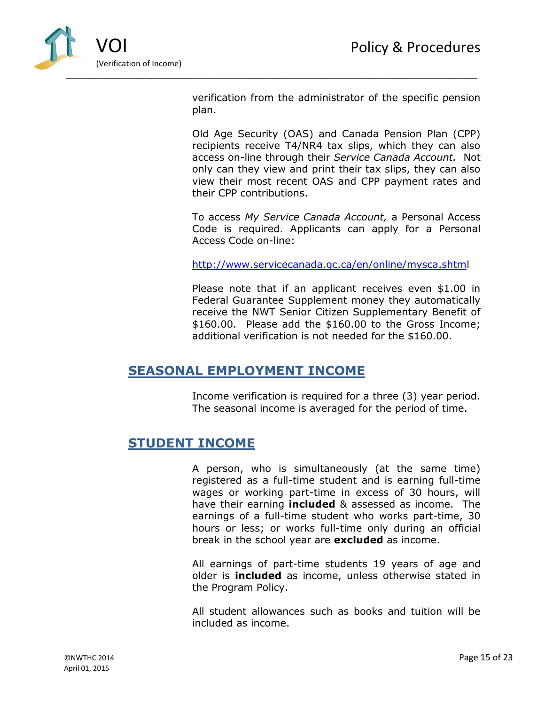

verification from the administrator of the specific pension plan.

Old Age Security (OAS) and Canada Pension Plan (CPP) recipients receive T4/NR4 tax slips, which they can also access on-line through their *Service Canada Account.* Not only can they view and print their tax slips, they can also view their most recent OAS and CPP payment rates and their CPP contributions.

To access *My Service Canada Account,* a Personal Access Code is required. Applicants can apply for a Personal Access Code on-line:

<http://www.servicecanada.gc.ca/en/online/mysca.shtml>

Please note that if an applicant receives even \$1.00 in Federal Guarantee Supplement money they automatically receive the NWT Senior Citizen Supplementary Benefit of \$160.00. Please add the \$160.00 to the Gross Income; additional verification is not needed for the \$160.00.

# <span id="page-15-0"></span>**SEASONAL EMPLOYMENT INCOME**

Income verification is required for a three (3) year period. The seasonal income is averaged for the period of time.

## <span id="page-15-1"></span>**STUDENT INCOME**

A person, who is simultaneously (at the same time) registered as a full-time student and is earning full-time wages or working part-time in excess of 30 hours, will have their earning **included** & assessed as income. The earnings of a full-time student who works part-time, 30 hours or less; or works full-time only during an official break in the school year are **excluded** as income.

All earnings of part-time students 19 years of age and older is **included** as income, unless otherwise stated in the Program Policy.

All student allowances such as books and tuition will be included as income.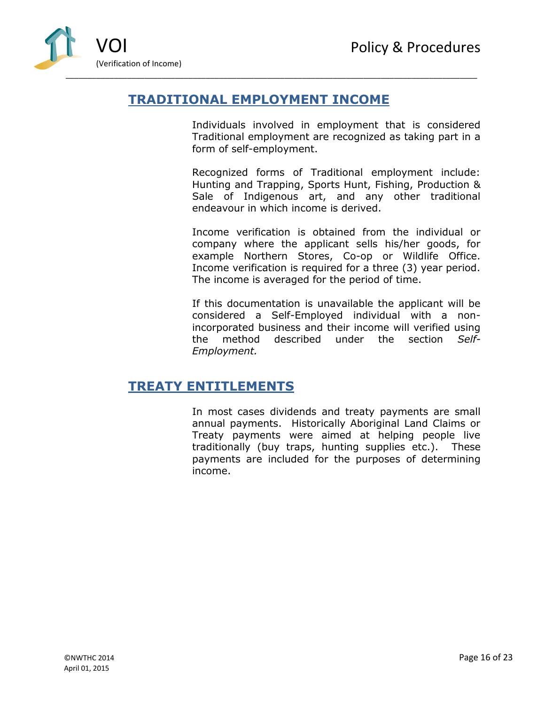

# <span id="page-16-0"></span>**TRADITIONAL EMPLOYMENT INCOME**

Individuals involved in employment that is considered Traditional employment are recognized as taking part in a form of self-employment.

Recognized forms of Traditional employment include: Hunting and Trapping, Sports Hunt, Fishing, Production & Sale of Indigenous art, and any other traditional endeavour in which income is derived.

Income verification is obtained from the individual or company where the applicant sells his/her goods, for example Northern Stores, Co-op or Wildlife Office. Income verification is required for a three (3) year period. The income is averaged for the period of time.

If this documentation is unavailable the applicant will be considered a Self-Employed individual with a nonincorporated business and their income will verified using the method described under the section *Self-Employment.*

# <span id="page-16-1"></span>**TREATY ENTITLEMENTS**

In most cases dividends and treaty payments are small annual payments. Historically Aboriginal Land Claims or Treaty payments were aimed at helping people live traditionally (buy traps, hunting supplies etc.). These payments are included for the purposes of determining income.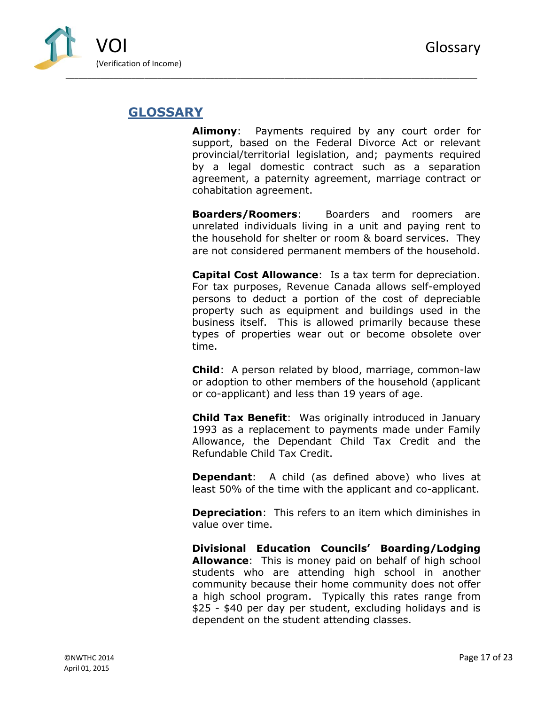

# <span id="page-17-0"></span>**GLOSSARY**

**Alimony**: Payments required by any court order for support, based on the Federal Divorce Act or relevant provincial/territorial legislation, and; payments required by a legal domestic contract such as a separation agreement, a paternity agreement, marriage contract or cohabitation agreement.

**Boarders/Roomers**:Boarders and roomers are unrelated individuals living in a unit and paying rent to the household for shelter or room & board services. They are not considered permanent members of the household.

**Capital Cost Allowance**: Is a tax term for depreciation. For tax purposes, Revenue Canada allows self-employed persons to deduct a portion of the cost of depreciable property such as equipment and buildings used in the business itself. This is allowed primarily because these types of properties wear out or become obsolete over time.

**Child**: A person related by blood, marriage, common-law or adoption to other members of the household (applicant or co-applicant) and less than 19 years of age.

**Child Tax Benefit**: Was originally introduced in January 1993 as a replacement to payments made under Family Allowance, the Dependant Child Tax Credit and the Refundable Child Tax Credit.

**Dependant**: A child (as defined above) who lives at least 50% of the time with the applicant and co-applicant.

**Depreciation**: This refers to an item which diminishes in value over time.

**Divisional Education Councils' Boarding/Lodging Allowance**: This is money paid on behalf of high school students who are attending high school in another community because their home community does not offer a high school program. Typically this rates range from \$25 - \$40 per day per student, excluding holidays and is dependent on the student attending classes.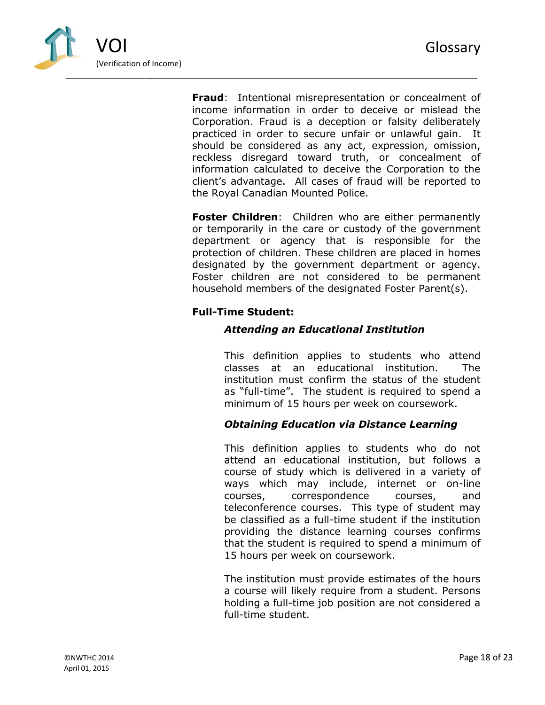

**Fraud**: Intentional misrepresentation or concealment of income information in order to deceive or mislead the Corporation. Fraud is a deception or falsity deliberately practiced in order to secure unfair or unlawful gain. It should be considered as any act, expression, omission, reckless disregard toward truth, or concealment of information calculated to deceive the Corporation to the client's advantage. All cases of fraud will be reported to the Royal Canadian Mounted Police.

**Foster Children**: Children who are either permanently or temporarily in the care or custody of the government department or agency that is responsible for the protection of children. These children are placed in homes designated by the government department or agency. Foster children are not considered to be permanent household members of the designated Foster Parent(s).

### **Full-Time Student:**

### *Attending an Educational Institution*

This definition applies to students who attend classes at an educational institution. The institution must confirm the status of the student as "full-time". The student is required to spend a minimum of 15 hours per week on coursework.

### *Obtaining Education via Distance Learning*

This definition applies to students who do not attend an educational institution, but follows a course of study which is delivered in a variety of ways which may include, internet or on-line courses, correspondence courses, and teleconference courses. This type of student may be classified as a full-time student if the institution providing the distance learning courses confirms that the student is required to spend a minimum of 15 hours per week on coursework.

The institution must provide estimates of the hours a course will likely require from a student. Persons holding a full-time job position are not considered a full-time student.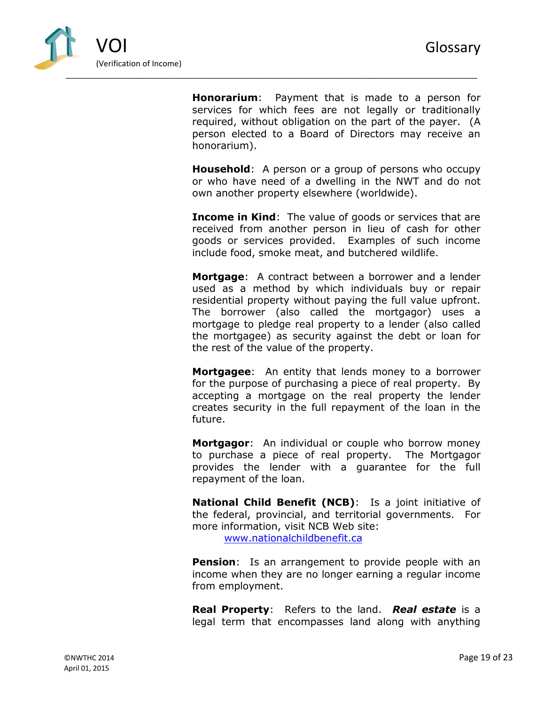

**Honorarium**: Payment that is made to a person for services for which fees are not legally or traditionally required, without obligation on the part of the payer. (A person elected to a Board of Directors may receive an honorarium).

**Household**: A person or a group of persons who occupy or who have need of a dwelling in the NWT and do not own another property elsewhere (worldwide).

**Income in Kind:** The value of goods or services that are received from another person in lieu of cash for other goods or services provided. Examples of such income include food, smoke meat, and butchered wildlife.

**Mortgage**: A contract between a borrower and a lender used as a method by which individuals buy or repair residential property without paying the full value upfront. The borrower (also called the mortgagor) uses a mortgage to pledge real property to a lender (also called the mortgagee) as security against the debt or loan for the rest of the value of the property.

**Mortgagee**: An entity that lends money to a borrower for the purpose of purchasing a piece of real property. By accepting a mortgage on the real property the lender creates security in the full repayment of the loan in the future.

**Mortgagor**: An individual or couple who borrow money to purchase a piece of real property. The Mortgagor provides the lender with a guarantee for the full repayment of the loan.

**National Child Benefit (NCB)**: Is a joint initiative of the federal, provincial, and territorial governments. For more information, visit NCB Web site: [www.nationalchildbenefit.ca](http://www.nationalchildbenefit.ca/)

**Pension**: Is an arrangement to provide people with an income when they are no longer earning a regular income from employment.

**Real Property**: Refers to the land. *Real estate* is a legal term that encompasses land along with anything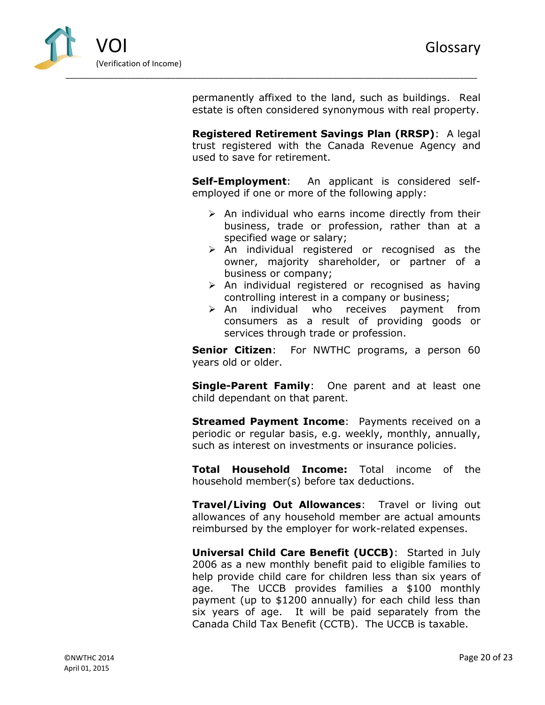

permanently affixed to the land, such as buildings. Real estate is often considered synonymous with real property.

**Registered Retirement Savings Plan (RRSP)**: A legal trust registered with the Canada Revenue Agency and used to save for retirement.

**Self-Employment**: An applicant is considered selfemployed if one or more of the following apply:

- $\triangleright$  An individual who earns income directly from their business, trade or profession, rather than at a specified wage or salary;
- $\triangleright$  An individual registered or recognised as the owner, majority shareholder, or partner of a business or company;
- $\triangleright$  An individual registered or recognised as having controlling interest in a company or business;
- $\triangleright$  An individual who receives payment from consumers as a result of providing goods or services through trade or profession.

**Senior Citizen:** For NWTHC programs, a person 60 years old or older.

**Single-Parent Family**: One parent and at least one child dependant on that parent.

**Streamed Payment Income:** Payments received on a periodic or regular basis, e.g. weekly, monthly, annually, such as interest on investments or insurance policies.

**Total Household Income:** Total income of the household member(s) before tax deductions.

**Travel/Living Out Allowances**: Travel or living out allowances of any household member are actual amounts reimbursed by the employer for work-related expenses.

**Universal Child Care Benefit (UCCB)**: Started in July 2006 as a new monthly benefit paid to eligible families to help provide child care for children less than six years of age. The UCCB provides families a \$100 monthly payment (up to \$1200 annually) for each child less than six years of age. It will be paid separately from the Canada Child Tax Benefit (CCTB). The UCCB is taxable.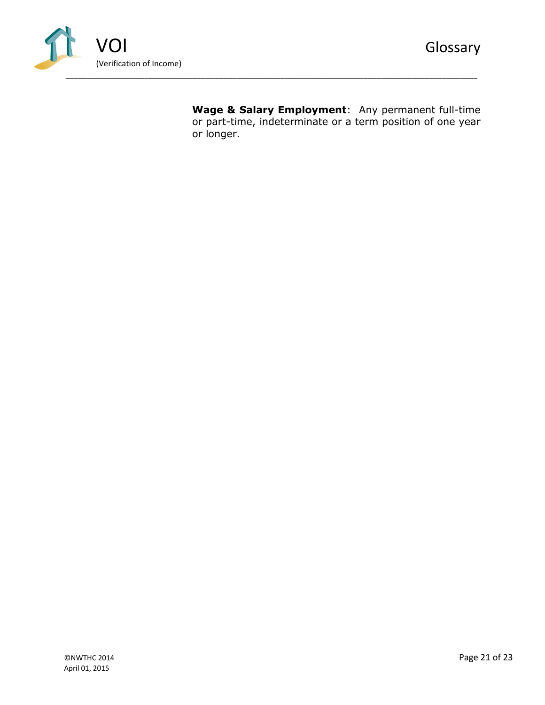

**Wage & Salary Employment**: Any permanent full-time or part-time, indeterminate or a term position of one year or longer.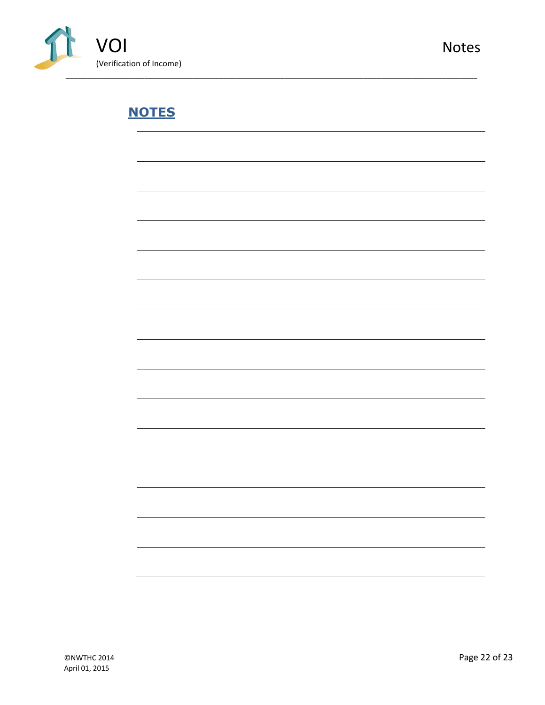

# <span id="page-22-0"></span>**NOTES**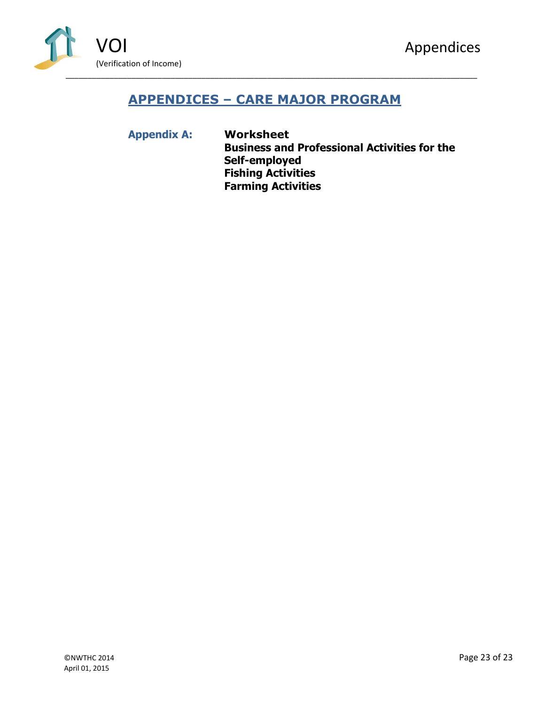

# <span id="page-23-0"></span>**APPENDICES – CARE MAJOR PROGRAM**

**Appendix A: Worksheet Business and Professional Activities for the Self-employed Fishing Activities Farming Activities**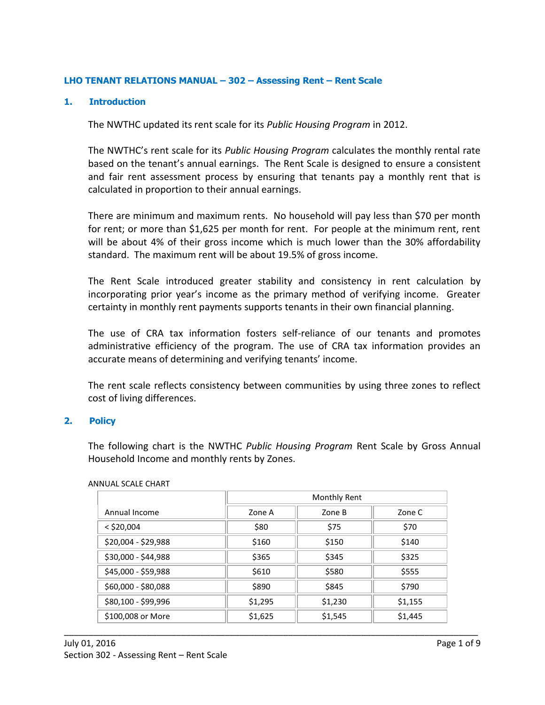#### **LHO TENANT RELATIONS MANUAL – 302 – Assessing Rent – Rent Scale**

#### **1. Introduction**

The NWTHC updated its rent scale for its *Public Housing Program* in 2012.

The NWTHC's rent scale for its *Public Housing Program* calculates the monthly rental rate based on the tenant's annual earnings. The Rent Scale is designed to ensure a consistent and fair rent assessment process by ensuring that tenants pay a monthly rent that is calculated in proportion to their annual earnings.

There are minimum and maximum rents. No household will pay less than \$70 per month for rent; or more than \$1,625 per month for rent. For people at the minimum rent, rent will be about 4% of their gross income which is much lower than the 30% affordability standard. The maximum rent will be about 19.5% of gross income.

The Rent Scale introduced greater stability and consistency in rent calculation by incorporating prior year's income as the primary method of verifying income. Greater certainty in monthly rent payments supports tenants in their own financial planning.

The use of CRA tax information fosters self-reliance of our tenants and promotes administrative efficiency of the program. The use of CRA tax information provides an accurate means of determining and verifying tenants' income.

The rent scale reflects consistency between communities by using three zones to reflect cost of living differences.

#### **2. Policy**

The following chart is the NWTHC *Public Housing Program* Rent Scale by Gross Annual Household Income and monthly rents by Zones.

|                     | Monthly Rent |         |         |  |  |  |  |  |
|---------------------|--------------|---------|---------|--|--|--|--|--|
| Annual Income       | Zone A       | Zone B  | Zone C  |  |  |  |  |  |
| $<$ \$20,004        | \$80         | \$75    | \$70    |  |  |  |  |  |
| \$20,004 - \$29,988 | \$160        | \$150   | \$140   |  |  |  |  |  |
| \$30,000 - \$44,988 | \$365        | \$345   | \$325   |  |  |  |  |  |
| \$45,000 - \$59,988 | \$610        | \$580   | \$555   |  |  |  |  |  |
| \$60,000 - \$80,088 | \$890        | \$845   | \$790   |  |  |  |  |  |
| \$80,100 - \$99,996 | \$1,295      | \$1,230 | \$1,155 |  |  |  |  |  |
| \$100,008 or More   | \$1,625      | \$1,545 | \$1,445 |  |  |  |  |  |

\_\_\_\_\_\_\_\_\_\_\_\_\_\_\_\_\_\_\_\_\_\_\_\_\_\_\_\_\_\_\_\_\_\_\_\_\_\_\_\_\_\_\_\_\_\_\_\_\_\_\_\_\_\_\_\_\_\_\_\_\_\_\_\_\_\_\_\_\_\_\_\_\_\_\_\_\_\_\_\_\_\_\_\_\_

#### ANNUAL SCALE CHART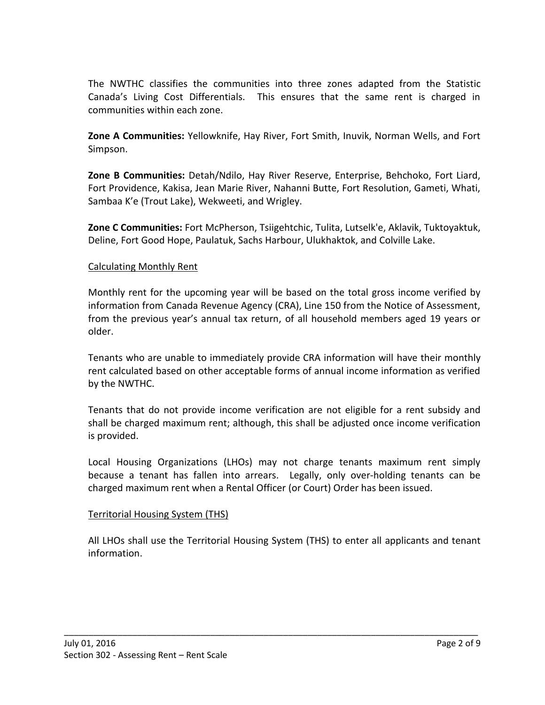The NWTHC classifies the communities into three zones adapted from the Statistic Canada's Living Cost Differentials. This ensures that the same rent is charged in communities within each zone.

**Zone A Communities:** Yellowknife, Hay River, Fort Smith, Inuvik, Norman Wells, and Fort Simpson.

**Zone B Communities:** Detah/Ndilo, Hay River Reserve, Enterprise, Behchoko, Fort Liard, Fort Providence, Kakisa, Jean Marie River, Nahanni Butte, Fort Resolution, Gameti, Whati, Sambaa K'e (Trout Lake), Wekweeti, and Wrigley.

**Zone C Communities:** Fort McPherson, Tsiigehtchic, Tulita, Lutselk'e, Aklavik, Tuktoyaktuk, Deline, Fort Good Hope, Paulatuk, Sachs Harbour, Ulukhaktok, and Colville Lake.

### Calculating Monthly Rent

Monthly rent for the upcoming year will be based on the total gross income verified by information from Canada Revenue Agency (CRA), Line 150 from the Notice of Assessment, from the previous year's annual tax return, of all household members aged 19 years or older.

Tenants who are unable to immediately provide CRA information will have their monthly rent calculated based on other acceptable forms of annual income information as verified by the NWTHC.

Tenants that do not provide income verification are not eligible for a rent subsidy and shall be charged maximum rent; although, this shall be adjusted once income verification is provided.

Local Housing Organizations (LHOs) may not charge tenants maximum rent simply because a tenant has fallen into arrears. Legally, only over-holding tenants can be charged maximum rent when a Rental Officer (or Court) Order has been issued.

#### Territorial Housing System (THS)

All LHOs shall use the Territorial Housing System (THS) to enter all applicants and tenant information.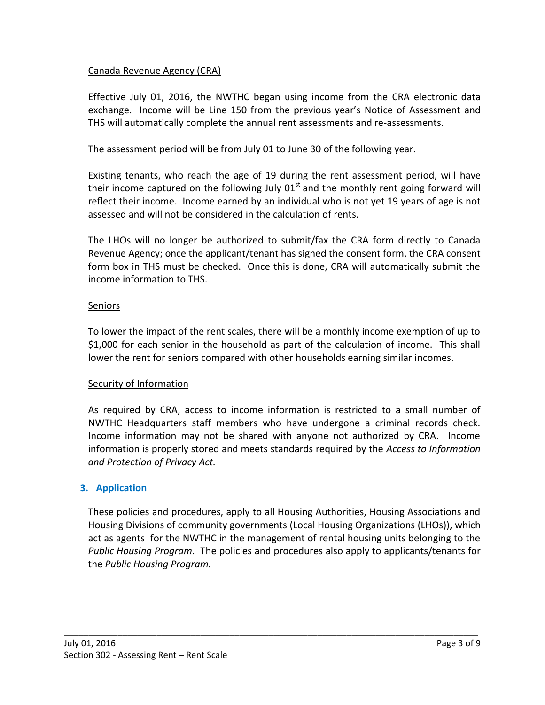### Canada Revenue Agency (CRA)

Effective July 01, 2016, the NWTHC began using income from the CRA electronic data exchange. Income will be Line 150 from the previous year's Notice of Assessment and THS will automatically complete the annual rent assessments and re-assessments.

The assessment period will be from July 01 to June 30 of the following year.

Existing tenants, who reach the age of 19 during the rent assessment period, will have their income captured on the following July  $01<sup>st</sup>$  and the monthly rent going forward will reflect their income. Income earned by an individual who is not yet 19 years of age is not assessed and will not be considered in the calculation of rents.

The LHOs will no longer be authorized to submit/fax the CRA form directly to Canada Revenue Agency; once the applicant/tenant has signed the consent form, the CRA consent form box in THS must be checked. Once this is done, CRA will automatically submit the income information to THS.

### Seniors

To lower the impact of the rent scales, there will be a monthly income exemption of up to \$1,000 for each senior in the household as part of the calculation of income. This shall lower the rent for seniors compared with other households earning similar incomes.

#### Security of Information

As required by CRA, access to income information is restricted to a small number of NWTHC Headquarters staff members who have undergone a criminal records check. Income information may not be shared with anyone not authorized by CRA. Income information is properly stored and meets standards required by the *Access to Information and Protection of Privacy Act.*

### **3. Application**

These policies and procedures, apply to all Housing Authorities, Housing Associations and Housing Divisions of community governments (Local Housing Organizations (LHOs)), which act as agents for the NWTHC in the management of rental housing units belonging to the *Public Housing Program*. The policies and procedures also apply to applicants/tenants for the *Public Housing Program.*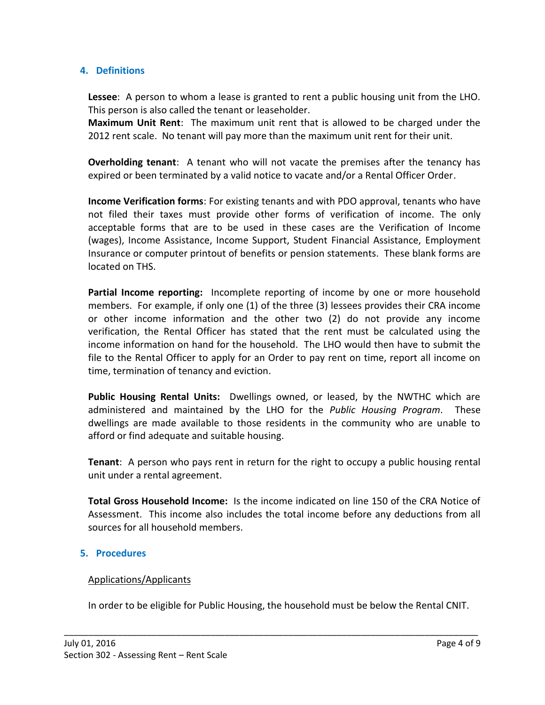### **4. Definitions**

**Lessee**: A person to whom a lease is granted to rent a public housing unit from the LHO. This person is also called the tenant or leaseholder.

**Maximum Unit Rent**: The maximum unit rent that is allowed to be charged under the 2012 rent scale. No tenant will pay more than the maximum unit rent for their unit.

**Overholding tenant**: A tenant who will not vacate the premises after the tenancy has expired or been terminated by a valid notice to vacate and/or a Rental Officer Order.

**Income Verification forms**: For existing tenants and with PDO approval, tenants who have not filed their taxes must provide other forms of verification of income. The only acceptable forms that are to be used in these cases are the Verification of Income (wages), Income Assistance, Income Support, Student Financial Assistance, Employment Insurance or computer printout of benefits or pension statements. These blank forms are located on THS.

**Partial Income reporting:** Incomplete reporting of income by one or more household members. For example, if only one (1) of the three (3) lessees provides their CRA income or other income information and the other two (2) do not provide any income verification, the Rental Officer has stated that the rent must be calculated using the income information on hand for the household. The LHO would then have to submit the file to the Rental Officer to apply for an Order to pay rent on time, report all income on time, termination of tenancy and eviction.

**Public Housing Rental Units:** Dwellings owned, or leased, by the NWTHC which are administered and maintained by the LHO for the *Public Housing Program*. These dwellings are made available to those residents in the community who are unable to afford or find adequate and suitable housing.

**Tenant**: A person who pays rent in return for the right to occupy a public housing rental unit under a rental agreement.

**Total Gross Household Income:** Is the income indicated on line 150 of the CRA Notice of Assessment. This income also includes the total income before any deductions from all sources for all household members.

#### **5. Procedures**

#### Applications/Applicants

In order to be eligible for Public Housing, the household must be below the Rental CNIT.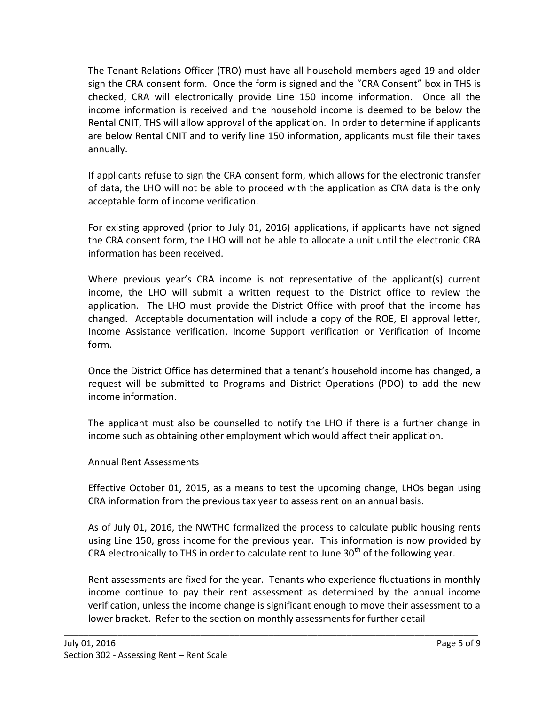The Tenant Relations Officer (TRO) must have all household members aged 19 and older sign the CRA consent form. Once the form is signed and the "CRA Consent" box in THS is checked, CRA will electronically provide Line 150 income information. Once all the income information is received and the household income is deemed to be below the Rental CNIT, THS will allow approval of the application. In order to determine if applicants are below Rental CNIT and to verify line 150 information, applicants must file their taxes annually.

If applicants refuse to sign the CRA consent form, which allows for the electronic transfer of data, the LHO will not be able to proceed with the application as CRA data is the only acceptable form of income verification.

For existing approved (prior to July 01, 2016) applications, if applicants have not signed the CRA consent form, the LHO will not be able to allocate a unit until the electronic CRA information has been received.

Where previous year's CRA income is not representative of the applicant(s) current income, the LHO will submit a written request to the District office to review the application. The LHO must provide the District Office with proof that the income has changed. Acceptable documentation will include a copy of the ROE, EI approval letter, Income Assistance verification, Income Support verification or Verification of Income form.

Once the District Office has determined that a tenant's household income has changed, a request will be submitted to Programs and District Operations (PDO) to add the new income information.

The applicant must also be counselled to notify the LHO if there is a further change in income such as obtaining other employment which would affect their application.

### Annual Rent Assessments

Effective October 01, 2015, as a means to test the upcoming change, LHOs began using CRA information from the previous tax year to assess rent on an annual basis.

As of July 01, 2016, the NWTHC formalized the process to calculate public housing rents using Line 150, gross income for the previous year. This information is now provided by CRA electronically to THS in order to calculate rent to June  $30<sup>th</sup>$  of the following year.

Rent assessments are fixed for the year. Tenants who experience fluctuations in monthly income continue to pay their rent assessment as determined by the annual income verification, unless the income change is significant enough to move their assessment to a lower bracket.Refer to the section on monthly assessments for further detail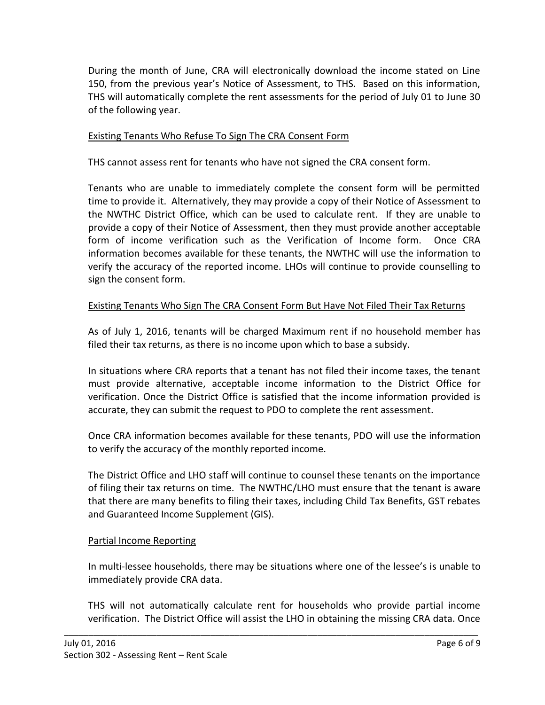During the month of June, CRA will electronically download the income stated on Line 150, from the previous year's Notice of Assessment, to THS. Based on this information, THS will automatically complete the rent assessments for the period of July 01 to June 30 of the following year.

### Existing Tenants Who Refuse To Sign The CRA Consent Form

THS cannot assess rent for tenants who have not signed the CRA consent form.

Tenants who are unable to immediately complete the consent form will be permitted time to provide it. Alternatively, they may provide a copy of their Notice of Assessment to the NWTHC District Office, which can be used to calculate rent. If they are unable to provide a copy of their Notice of Assessment, then they must provide another acceptable form of income verification such as the Verification of Income form. Once CRA information becomes available for these tenants, the NWTHC will use the information to verify the accuracy of the reported income. LHOs will continue to provide counselling to sign the consent form.

### Existing Tenants Who Sign The CRA Consent Form But Have Not Filed Their Tax Returns

As of July 1, 2016, tenants will be charged Maximum rent if no household member has filed their tax returns, as there is no income upon which to base a subsidy.

In situations where CRA reports that a tenant has not filed their income taxes, the tenant must provide alternative, acceptable income information to the District Office for verification. Once the District Office is satisfied that the income information provided is accurate, they can submit the request to PDO to complete the rent assessment.

Once CRA information becomes available for these tenants, PDO will use the information to verify the accuracy of the monthly reported income.

The District Office and LHO staff will continue to counsel these tenants on the importance of filing their tax returns on time. The NWTHC/LHO must ensure that the tenant is aware that there are many benefits to filing their taxes, including Child Tax Benefits, GST rebates and Guaranteed Income Supplement (GIS).

#### Partial Income Reporting

In multi-lessee households, there may be situations where one of the lessee's is unable to immediately provide CRA data.

THS will not automatically calculate rent for households who provide partial income verification. The District Office will assist the LHO in obtaining the missing CRA data. Once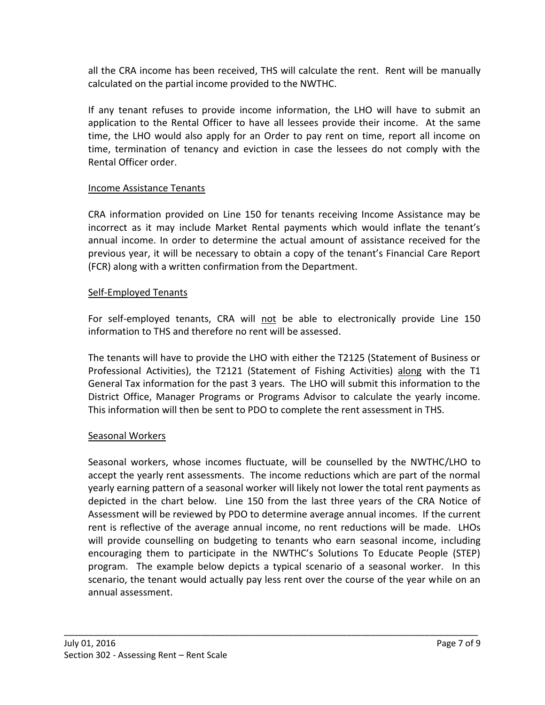all the CRA income has been received, THS will calculate the rent. Rent will be manually calculated on the partial income provided to the NWTHC.

If any tenant refuses to provide income information, the LHO will have to submit an application to the Rental Officer to have all lessees provide their income. At the same time, the LHO would also apply for an Order to pay rent on time, report all income on time, termination of tenancy and eviction in case the lessees do not comply with the Rental Officer order.

### Income Assistance Tenants

CRA information provided on Line 150 for tenants receiving Income Assistance may be incorrect as it may include Market Rental payments which would inflate the tenant's annual income. In order to determine the actual amount of assistance received for the previous year, it will be necessary to obtain a copy of the tenant's Financial Care Report (FCR) along with a written confirmation from the Department.

### Self-Employed Tenants

For self-employed tenants, CRA will not be able to electronically provide Line 150 information to THS and therefore no rent will be assessed.

The tenants will have to provide the LHO with either the T2125 (Statement of Business or Professional Activities), the T2121 (Statement of Fishing Activities) along with the T1 General Tax information for the past 3 years. The LHO will submit this information to the District Office, Manager Programs or Programs Advisor to calculate the yearly income. This information will then be sent to PDO to complete the rent assessment in THS.

### Seasonal Workers

Seasonal workers, whose incomes fluctuate, will be counselled by the NWTHC/LHO to accept the yearly rent assessments. The income reductions which are part of the normal yearly earning pattern of a seasonal worker will likely not lower the total rent payments as depicted in the chart below. Line 150 from the last three years of the CRA Notice of Assessment will be reviewed by PDO to determine average annual incomes. If the current rent is reflective of the average annual income, no rent reductions will be made. LHOs will provide counselling on budgeting to tenants who earn seasonal income, including encouraging them to participate in the NWTHC's Solutions To Educate People (STEP) program. The example below depicts a typical scenario of a seasonal worker. In this scenario, the tenant would actually pay less rent over the course of the year while on an annual assessment.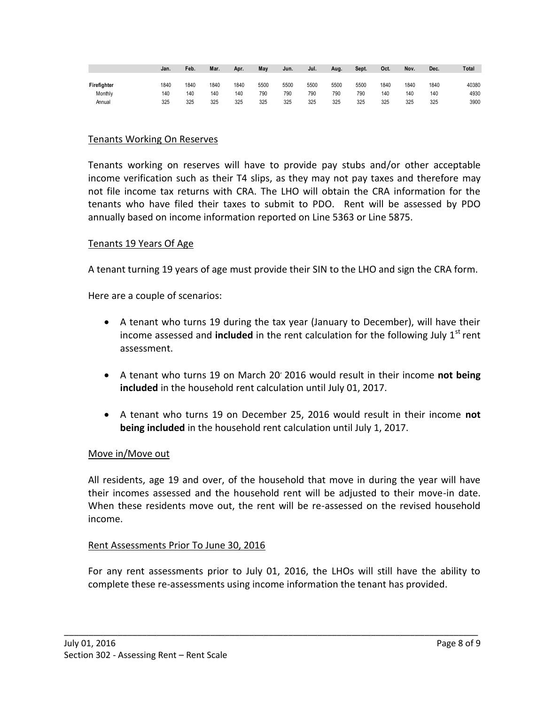|             | Jan. | Feb. | Mar. | Apr. | May  | Jun. | Jul. | Aug. | Sept. | Oct. | Nov. | Dec. | Total |
|-------------|------|------|------|------|------|------|------|------|-------|------|------|------|-------|
|             |      |      |      |      |      |      |      |      |       |      |      |      |       |
| Firefighter | 1840 | 1840 | 1840 | 1840 | 5500 | 5500 | 5500 | 5500 | 5500  | 1840 | 1840 | 1840 | 40380 |
| Monthly     | 140  | 140  | 140  | 140  | 790  | 790  | 790  | 790  | 790   | 140  | 140  | 140  | 4930  |
| Annual      | 325  | 325  | 325  | 325  | 325  | 325  | 325  | 325  | 325   | 325  | 325  | 325  | 3900  |

### Tenants Working On Reserves

Tenants working on reserves will have to provide pay stubs and/or other acceptable income verification such as their T4 slips, as they may not pay taxes and therefore may not file income tax returns with CRA. The LHO will obtain the CRA information for the tenants who have filed their taxes to submit to PDO. Rent will be assessed by PDO annually based on income information reported on Line 5363 or Line 5875.

#### Tenants 19 Years Of Age

A tenant turning 19 years of age must provide their SIN to the LHO and sign the CRA form.

Here are a couple of scenarios:

- A tenant who turns 19 during the tax year (January to December), will have their income assessed and **included** in the rent calculation for the following July  $1<sup>st</sup>$  rent assessment.
- A tenant who turns 19 on March 20, 2016 would result in their income **not being included** in the household rent calculation until July 01, 2017.
- A tenant who turns 19 on December 25, 2016 would result in their income **not being included** in the household rent calculation until July 1, 2017.

#### Move in/Move out

All residents, age 19 and over, of the household that move in during the year will have their incomes assessed and the household rent will be adjusted to their move-in date. When these residents move out, the rent will be re-assessed on the revised household income.

#### Rent Assessments Prior To June 30, 2016

For any rent assessments prior to July 01, 2016, the LHOs will still have the ability to complete these re-assessments using income information the tenant has provided.